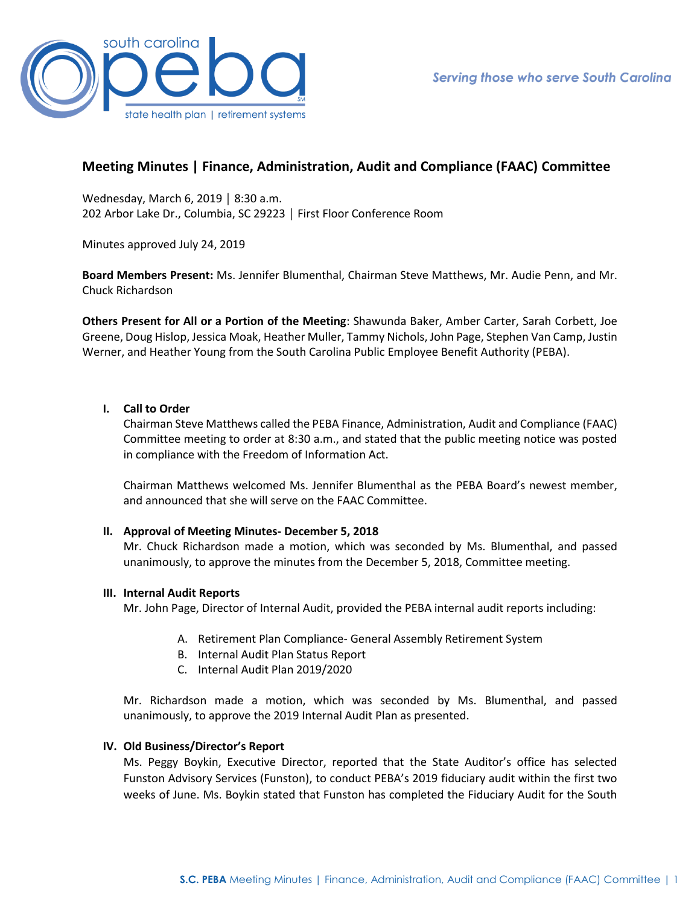

# **Meeting Minutes | Finance, Administration, Audit and Compliance (FAAC) Committee**

Wednesday, March 6, 2019 │ 8:30 a.m. 202 Arbor Lake Dr., Columbia, SC 29223 │ First Floor Conference Room

Minutes approved July 24, 2019

**Board Members Present:** Ms. Jennifer Blumenthal, Chairman Steve Matthews, Mr. Audie Penn, and Mr. Chuck Richardson

**Others Present for All or a Portion of the Meeting**: Shawunda Baker, Amber Carter, Sarah Corbett, Joe Greene, Doug Hislop, Jessica Moak, Heather Muller, Tammy Nichols, John Page, Stephen Van Camp, Justin Werner, and Heather Young from the South Carolina Public Employee Benefit Authority (PEBA).

## **I. Call to Order**

Chairman Steve Matthews called the PEBA Finance, Administration, Audit and Compliance (FAAC) Committee meeting to order at 8:30 a.m., and stated that the public meeting notice was posted in compliance with the Freedom of Information Act.

Chairman Matthews welcomed Ms. Jennifer Blumenthal as the PEBA Board's newest member, and announced that she will serve on the FAAC Committee.

### **II. Approval of Meeting Minutes- December 5, 2018**

Mr. Chuck Richardson made a motion, which was seconded by Ms. Blumenthal, and passed unanimously, to approve the minutes from the December 5, 2018, Committee meeting.

### **III. Internal Audit Reports**

Mr. John Page, Director of Internal Audit, provided the PEBA internal audit reports including:

- A. Retirement Plan Compliance- General Assembly Retirement System
- B. Internal Audit Plan Status Report
- C. Internal Audit Plan 2019/2020

Mr. Richardson made a motion, which was seconded by Ms. Blumenthal, and passed unanimously, to approve the 2019 Internal Audit Plan as presented.

### **IV. Old Business/Director's Report**

Ms. Peggy Boykin, Executive Director, reported that the State Auditor's office has selected Funston Advisory Services (Funston), to conduct PEBA's 2019 fiduciary audit within the first two weeks of June. Ms. Boykin stated that Funston has completed the Fiduciary Audit for the South